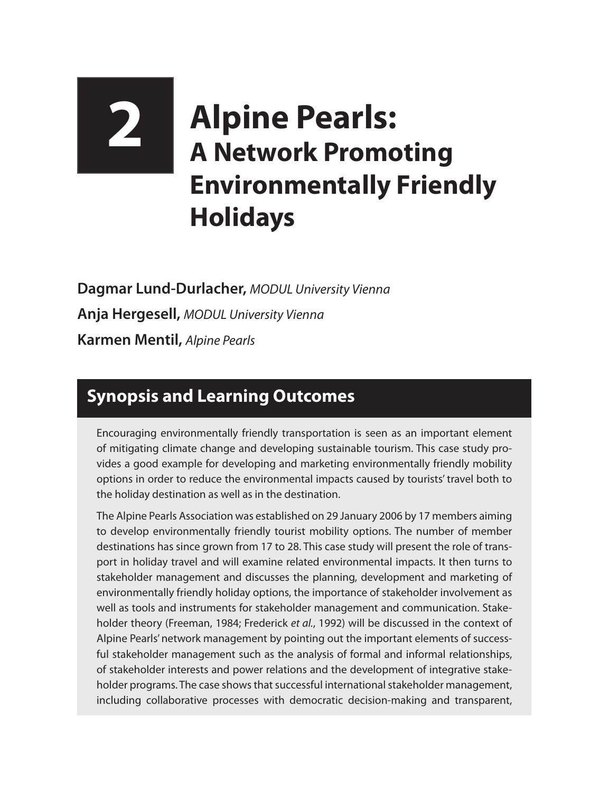## **2 Alpine Pearls: A Network Promoting Environmentally Friendly Holidays**

**Dagmar Lund-Durlacher,** *MODUL University Vienna* **Anja Hergesell,** *MODUL University Vienna* **Karmen Mentil,** *Alpine Pearls*

## **Synopsis and Learning Outcomes**

Encouraging environmentally friendly transportation is seen as an important element of mitigating climate change and developing sustainable tourism. This case study provides a good example for developing and marketing environmentally friendly mobility options in order to reduce the environmental impacts caused by tourists' travel both to the holiday destination as well as in the destination.

The Alpine Pearls Association was established on 29 January 2006 by 17 members aiming to develop environmentally friendly tourist mobility options. The number of member destinations has since grown from 17 to 28. This case study will present the role of transport in holiday travel and will examine related environmental impacts. It then turns to stakeholder management and discusses the planning, development and marketing of environmentally friendly holiday options, the importance of stakeholder involvement as well as tools and instruments for stakeholder management and communication. Stakeholder theory (Freeman, 1984; Frederick *et al.*, 1992) will be discussed in the context of Alpine Pearls' network management by pointing out the important elements of successful stakeholder management such as the analysis of formal and informal relationships, of stakeholder interests and power relations and the development of integrative stakeholder programs. The case shows that successful international stakeholder management, including collaborative processes with democratic decision-making and transparent,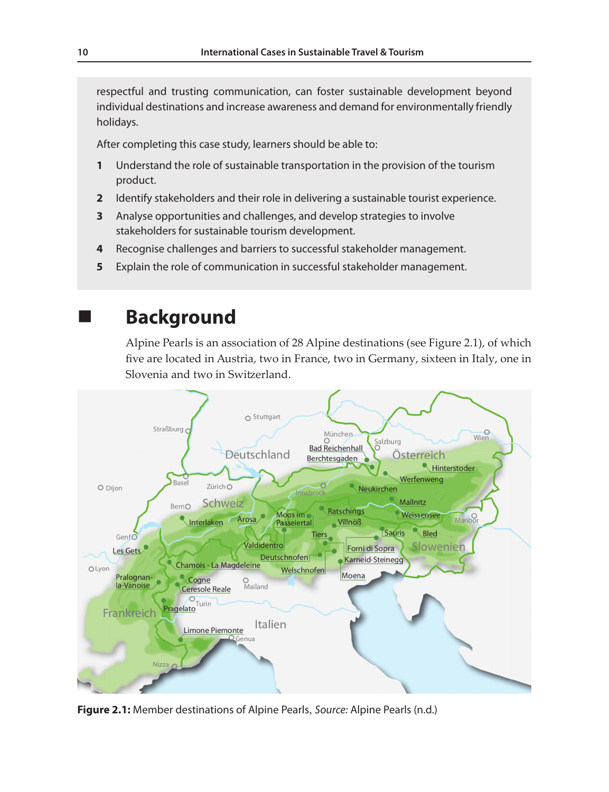respectful and trusting communication, can foster sustainable development beyond individual destinations and increase awareness and demand for environmentally friendly holidays.

After completing this case study, learners should be able to:

- **1** Understand the role of sustainable transportation in the provision of the tourism product.
- **2** Identify stakeholders and their role in delivering a sustainable tourist experience.
- **3** Analyse opportunities and challenges, and develop strategies to involve stakeholders for sustainable tourism development.
- **4** Recognise challenges and barriers to successful stakeholder management.
- **5** Explain the role of communication in successful stakeholder management.

## **Background**

Alpine Pearls is an association of 28 Alpine destinations (see Figure 2.1), of which five are located in Austria, two in France, two in Germany, sixteen in Italy, one in Slovenia and two in Switzerland.



**Figure 2.1:** Member destinations of Alpine Pearls, *Source:* Alpine Pearls (n.d.)